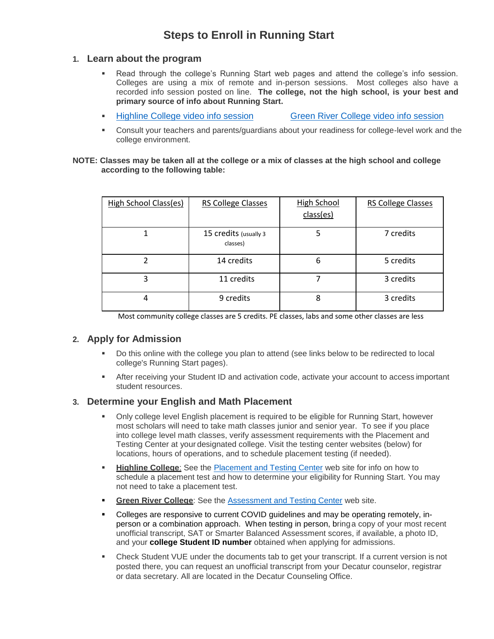## **Steps to Enroll in Running Start**

#### **1. Learn about the program**

- Read through the college's Running Start web pages and attend the college's info session. Colleges are using a mix of remote and in-person sessions. Most colleges also have a recorded info session posted on line. **The college, not the high school, is your best and primary source of info about Running Start.**
- **EXECTE:** [Highline College video](https://www.youtube.com/watch?v=PQHa0p4OiOM&feature=youtu.be) info session [Green River College video info](https://youtu.be/HMkEIQyf-N0) session

Consult your teachers and parents/guardians about your readiness for college-level work and the college environment.

#### **NOTE: Classes may be taken all at the college or a mix of classes at the high school and college according to the following table:**

| High School Class(es) | <b>RS College Classes</b>         | <b>High School</b><br>class(es) | RS College Classes |
|-----------------------|-----------------------------------|---------------------------------|--------------------|
|                       | 15 credits (usually 3<br>classes) | 5                               | 7 credits          |
| າ                     | 14 credits                        | 6                               | 5 credits          |
| 3                     | 11 credits                        |                                 | 3 credits          |
| 4                     | 9 credits                         | 8                               | 3 credits          |

Most community college classes are 5 credits. PE classes, labs and some other classes are less

### **2. Apply for Admission**

- Do this online with the college you plan to attend (see links below to be redirected to local college's Running Start pages).
- **EXECT:** After receiving your Student ID and activation code, activate your account to access important student resources.

### **3. Determine your English and Math Placement**

- Only college level English placement is required to be eligible for Running Start, however most scholars will need to take math classes junior and senior year. To see if you place into college level math classes, verify assessment requirements with the Placement and Testing Center at your designated college. Visit the testing center websites (below) for locations, hours of operations, and to schedule placement testing (if needed).
- **Example 2** Highline College: See the **[Placement and Testing Center](https://placeandtest.highline.edu/) web site for info on how to** schedule a placement test and how to determine your eligibility for Running Start. You may not need to take a placement test.
- **Eigen River College:** See the [Assessment and Testing Center](https://www.greenriver.edu/students/academics/assessment-testing-center/) web site.
- Colleges are responsive to current COVID guidelines and may be operating remotely, inperson or a combination approach. When testing in person, bringa copy of your most recent unofficial transcript, SAT or Smarter Balanced Assessment scores, if available, a photo ID, and your **college Student ID number** obtained when applying for admissions.
- **Check Student VUE under the documents tab to get your transcript. If a current version is not** posted there, you can request an unofficial transcript from your Decatur counselor, registrar or data secretary. All are located in the Decatur Counseling Office.